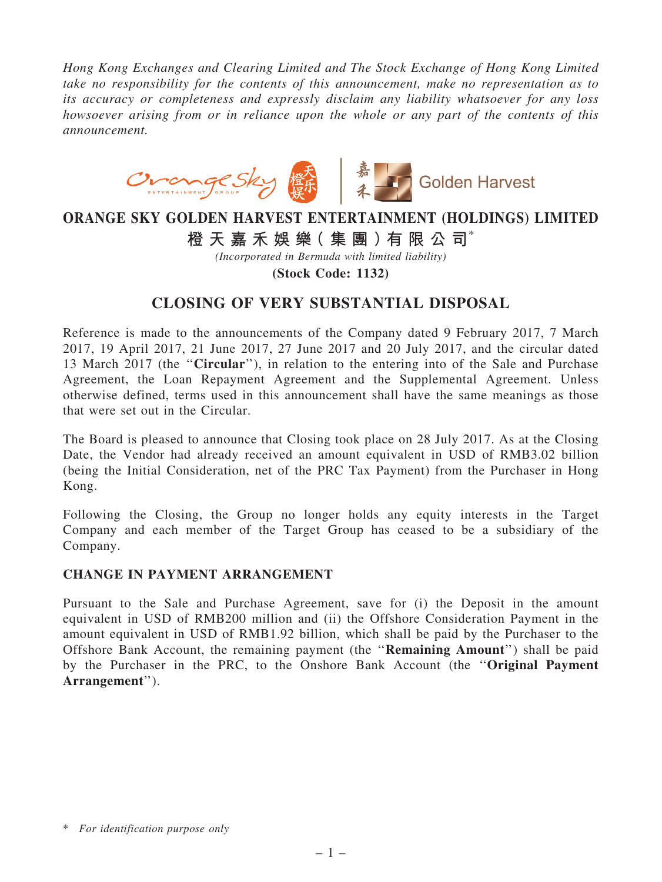*Hong Kong Exchanges and Clearing Limited and The Stock Exchange of Hong Kong Limited take no responsibility for the contents of this announcement, make no representation as to its accuracy or completeness and expressly disclaim any liability whatsoever for any loss howsoever arising from or in reliance upon the whole or any part of the contents of this announcement.*



## ORANGE SKY GOLDEN HARVEST ENTERTAINMENT (HOLDINGS) LIMITED

橙 天 嘉 禾 娛 樂 (集 團 ) 有 限 公 司 $^*$ 

*(Incorporated in Bermuda with limited liability)*

(Stock Code: 1132)

## CLOSING OF VERY SUBSTANTIAL DISPOSAL

Reference is made to the announcements of the Company dated 9 February 2017, 7 March 2017, 19 April 2017, 21 June 2017, 27 June 2017 and 20 July 2017, and the circular dated 13 March 2017 (the ''Circular''), in relation to the entering into of the Sale and Purchase Agreement, the Loan Repayment Agreement and the Supplemental Agreement. Unless otherwise defined, terms used in this announcement shall have the same meanings as those that were set out in the Circular.

The Board is pleased to announce that Closing took place on 28 July 2017. As at the Closing Date, the Vendor had already received an amount equivalent in USD of RMB3.02 billion (being the Initial Consideration, net of the PRC Tax Payment) from the Purchaser in Hong Kong.

Following the Closing, the Group no longer holds any equity interests in the Target Company and each member of the Target Group has ceased to be a subsidiary of the Company.

## CHANGE IN PAYMENT ARRANGEMENT

Pursuant to the Sale and Purchase Agreement, save for (i) the Deposit in the amount equivalent in USD of RMB200 million and (ii) the Offshore Consideration Payment in the amount equivalent in USD of RMB1.92 billion, which shall be paid by the Purchaser to the Offshore Bank Account, the remaining payment (the ''Remaining Amount'') shall be paid by the Purchaser in the PRC, to the Onshore Bank Account (the ''Original Payment Arrangement'').

<sup>\*</sup> *For identification purpose only*